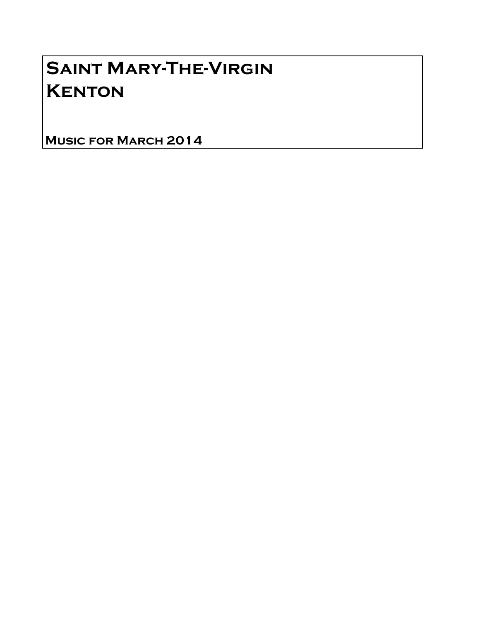## Saint Mary-The-Virgin **KENTON**

Music for March 2014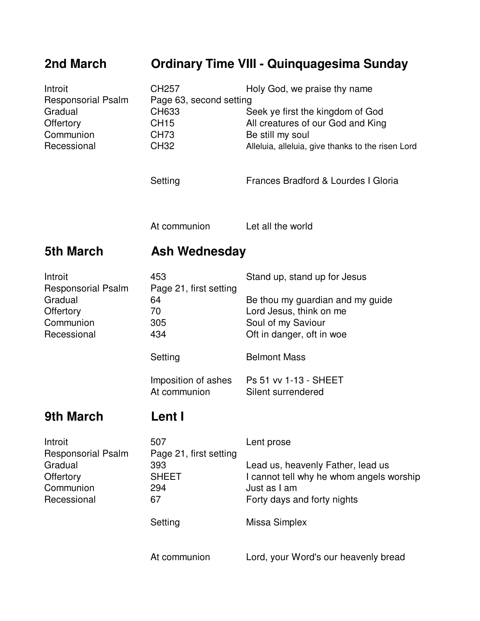## **2nd March Ordinary Time VIII - Quinquagesima Sunday**

| Introit<br><b>Responsorial Psalm</b>                                          | CH <sub>257</sub><br>Page 63, second setting               | Holy God, we praise thy name                                                                                                 |  |
|-------------------------------------------------------------------------------|------------------------------------------------------------|------------------------------------------------------------------------------------------------------------------------------|--|
| Gradual<br>Offertory<br>Communion                                             | CH633<br><b>CH15</b><br><b>CH73</b>                        | Seek ye first the kingdom of God<br>All creatures of our God and King<br>Be still my soul                                    |  |
| Recessional                                                                   | <b>CH32</b>                                                | Alleluia, alleluia, give thanks to the risen Lord                                                                            |  |
|                                                                               | Setting                                                    | Frances Bradford & Lourdes I Gloria                                                                                          |  |
|                                                                               | At communion                                               | Let all the world                                                                                                            |  |
| <b>5th March</b>                                                              | <b>Ash Wednesday</b>                                       |                                                                                                                              |  |
| Introit                                                                       | 453                                                        | Stand up, stand up for Jesus                                                                                                 |  |
| <b>Responsorial Psalm</b><br>Gradual<br>Offertory<br>Communion<br>Recessional | Page 21, first setting<br>64<br>70<br>305<br>434           | Be thou my guardian and my guide<br>Lord Jesus, think on me<br>Soul of my Saviour<br>Oft in danger, oft in woe               |  |
|                                                                               | Setting                                                    | <b>Belmont Mass</b>                                                                                                          |  |
|                                                                               | Imposition of ashes<br>At communion                        | Ps 51 vv 1-13 - SHEET<br>Silent surrendered                                                                                  |  |
| <b>9th March</b>                                                              | Lent I                                                     |                                                                                                                              |  |
| Introit                                                                       | 507                                                        | Lent prose                                                                                                                   |  |
| <b>Responsorial Psalm</b><br>Gradual<br>Offertory<br>Communion<br>Recessional | Page 21, first setting<br>393<br><b>SHEET</b><br>294<br>67 | Lead us, heavenly Father, lead us<br>I cannot tell why he whom angels worship<br>Just as I am<br>Forty days and forty nights |  |
|                                                                               | Setting                                                    | Missa Simplex                                                                                                                |  |
|                                                                               | At communion                                               | Lord, your Word's our heavenly bread                                                                                         |  |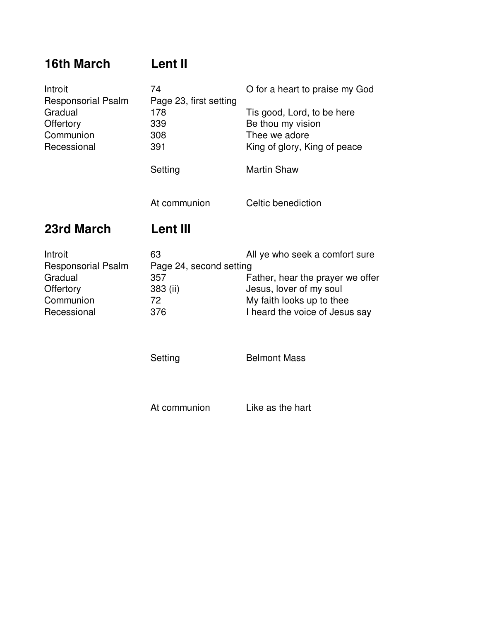## **16th March Lent II**

| Introit<br><b>Responsorial Psalm</b> | 74<br>Page 23, first setting | O for a heart to praise my God                              |
|--------------------------------------|------------------------------|-------------------------------------------------------------|
| Gradual                              | 178                          | Tis good, Lord, to be here                                  |
| Offertory                            | 339                          | Be thou my vision                                           |
| Communion                            | 308                          | Thee we adore                                               |
| Recessional                          | 391                          | King of glory, King of peace                                |
|                                      | Setting                      | <b>Martin Shaw</b>                                          |
|                                      | At communion                 | Celtic benediction                                          |
|                                      | Lent III                     |                                                             |
| 23rd March                           |                              |                                                             |
|                                      | 63                           | All ye who seek a comfort sure                              |
| <b>Responsorial Psalm</b>            | Page 24, second setting      |                                                             |
| Gradual                              | 357                          | Father, hear the prayer we offer                            |
| <b>Offertory</b>                     | 383 (ii)                     | Jesus, lover of my soul                                     |
| Introit<br>Communion<br>Recessional  | 72<br>376                    | My faith looks up to thee<br>I heard the voice of Jesus say |
|                                      |                              |                                                             |

At communion Like as the hart